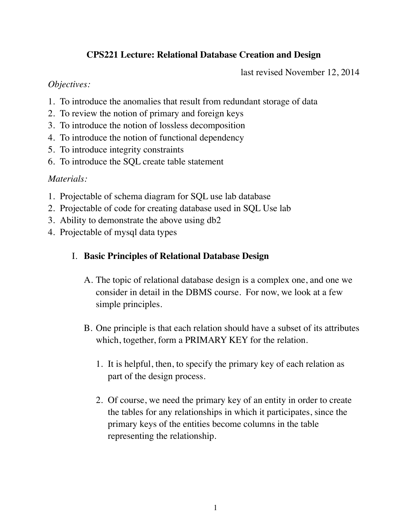# **CPS221 Lecture: Relational Database Creation and Design**

last revised November 12, 2014

## *Objectives:*

- 1. To introduce the anomalies that result from redundant storage of data
- 2. To review the notion of primary and foreign keys
- 3. To introduce the notion of lossless decomposition
- 4. To introduce the notion of functional dependency
- 5. To introduce integrity constraints
- 6. To introduce the SQL create table statement

## *Materials:*

- 1. Projectable of schema diagram for SQL use lab database
- 2. Projectable of code for creating database used in SQL Use lab
- 3. Ability to demonstrate the above using db2
- 4. Projectable of mysql data types

## I. **Basic Principles of Relational Database Design**

- A. The topic of relational database design is a complex one, and one we consider in detail in the DBMS course. For now, we look at a few simple principles.
- B. One principle is that each relation should have a subset of its attributes which, together, form a PRIMARY KEY for the relation.
	- 1. It is helpful, then, to specify the primary key of each relation as part of the design process.
	- 2. Of course, we need the primary key of an entity in order to create the tables for any relationships in which it participates, since the primary keys of the entities become columns in the table representing the relationship.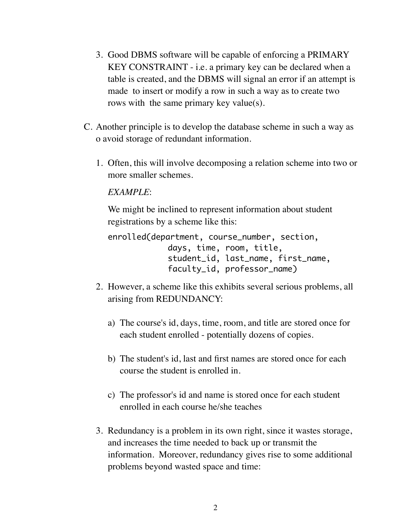- 3. Good DBMS software will be capable of enforcing a PRIMARY KEY CONSTRAINT - i.e. a primary key can be declared when a table is created, and the DBMS will signal an error if an attempt is made to insert or modify a row in such a way as to create two rows with the same primary key value(s).
- C. Another principle is to develop the database scheme in such a way as o avoid storage of redundant information.
	- 1. Often, this will involve decomposing a relation scheme into two or more smaller schemes.

## *EXAMPLE*:

We might be inclined to represent information about student registrations by a scheme like this:

```
enrolled(department, course_number, section, 
              	 	 days, time, room, title,
              	 	 student_id, last_name, first_name, 
              	 	 faculty_id, professor_name)
```
- 2. However, a scheme like this exhibits several serious problems, all arising from REDUNDANCY:
	- a) The course's id, days, time, room, and title are stored once for each student enrolled - potentially dozens of copies.
	- b) The student's id, last and first names are stored once for each course the student is enrolled in.
	- c) The professor's id and name is stored once for each student enrolled in each course he/she teaches
- 3. Redundancy is a problem in its own right, since it wastes storage, and increases the time needed to back up or transmit the information. Moreover, redundancy gives rise to some additional problems beyond wasted space and time: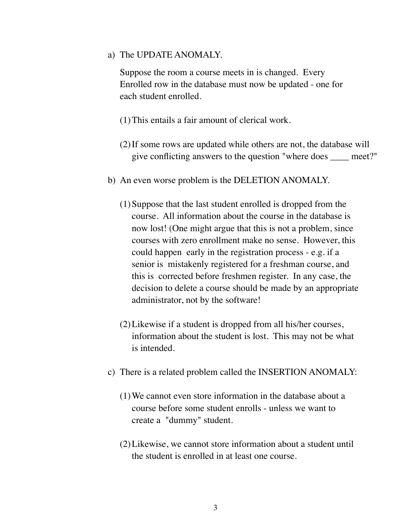a) The UPDATE ANOMALY.

Suppose the room a course meets in is changed. Every Enrolled row in the database must now be updated - one for each student enrolled.

- (1)This entails a fair amount of clerical work.
- (2)If some rows are updated while others are not, the database will give conflicting answers to the question "where does \_\_\_\_ meet?"
- b) An even worse problem is the DELETION ANOMALY.
	- (1)Suppose that the last student enrolled is dropped from the course. All information about the course in the database is now lost! (One might argue that this is not a problem, since courses with zero enrollment make no sense. However, this could happen early in the registration process - e.g. if a senior is mistakenly registered for a freshman course, and this is corrected before freshmen register. In any case, the decision to delete a course should be made by an appropriate administrator, not by the software!
	- (2)Likewise if a student is dropped from all his/her courses, information about the student is lost. This may not be what is intended.
- c) There is a related problem called the INSERTION ANOMALY:
	- (1)We cannot even store information in the database about a course before some student enrolls - unless we want to create a "dummy" student.
	- (2)Likewise, we cannot store information about a student until the student is enrolled in at least one course.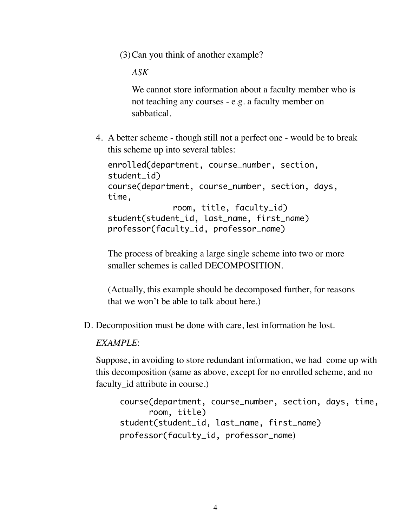(3)Can you think of another example?

*ASK*

We cannot store information about a faculty member who is not teaching any courses - e.g. a faculty member on sabbatical.

4. A better scheme - though still not a perfect one - would be to break this scheme up into several tables:

```
enrolled(department, course_number, section, 
student id)
course(department, course_number, section, days, 
time,
              	 	 room, title, faculty_id)
student(student_id, last_name, first_name)
professor(faculty_id, professor_name)
```
The process of breaking a large single scheme into two or more smaller schemes is called DECOMPOSITION.

(Actually, this example should be decomposed further, for reasons that we won't be able to talk about here.)

D. Decomposition must be done with care, lest information be lost.

#### *EXAMPLE*:

Suppose, in avoiding to store redundant information, we had come up with this decomposition (same as above, except for no enrolled scheme, and no faculty id attribute in course.)

```
course(department, course_number, section, days, time,
      	 	 room, title)
student(student_id, last_name, first_name)
professor(faculty_id, professor_name)
```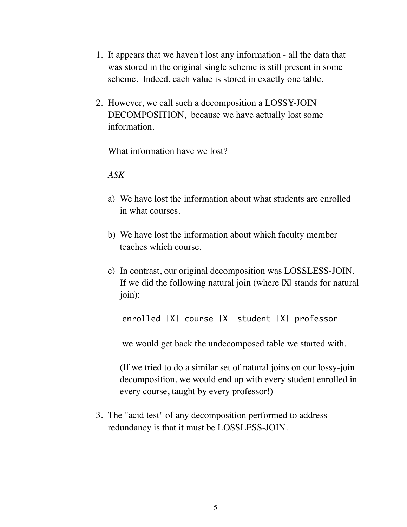- 1. It appears that we haven't lost any information all the data that was stored in the original single scheme is still present in some scheme. Indeed, each value is stored in exactly one table.
- 2. However, we call such a decomposition a LOSSY-JOIN DECOMPOSITION, because we have actually lost some information.

What information have we lost?

#### *ASK*

- a) We have lost the information about what students are enrolled in what courses.
- b) We have lost the information about which faculty member teaches which course.
- c) In contrast, our original decomposition was LOSSLESS-JOIN. If we did the following natural join (where IXI stands for natural join):

enrolled |X| course |X| student |X| professor

we would get back the undecomposed table we started with.

(If we tried to do a similar set of natural joins on our lossy-join decomposition, we would end up with every student enrolled in every course, taught by every professor!)

3. The "acid test" of any decomposition performed to address redundancy is that it must be LOSSLESS-JOIN.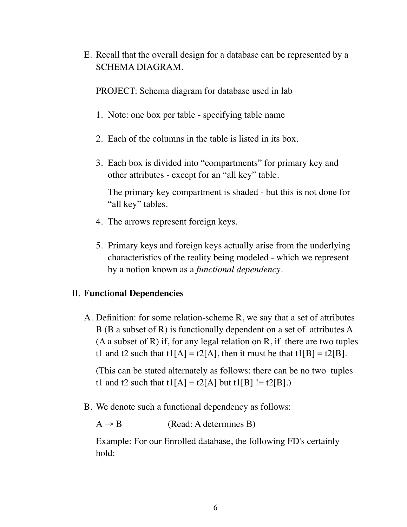E. Recall that the overall design for a database can be represented by a SCHEMA DIAGRAM.

PROJECT: Schema diagram for database used in lab

- 1. Note: one box per table specifying table name
- 2. Each of the columns in the table is listed in its box.
- 3. Each box is divided into "compartments" for primary key and other attributes - except for an "all key" table.

The primary key compartment is shaded - but this is not done for "all key" tables.

- 4. The arrows represent foreign keys.
- 5. Primary keys and foreign keys actually arise from the underlying characteristics of the reality being modeled - which we represent by a notion known as a *functional dependency*.

### II. **Functional Dependencies**

A. Definition: for some relation-scheme R, we say that a set of attributes B (B a subset of R) is functionally dependent on a set of attributes A (A a subset of R) if, for any legal relation on R, if there are two tuples t1 and t2 such that  $t1[A] = t2[A]$ , then it must be that  $t1[B] = t2[B]$ .

(This can be stated alternately as follows: there can be no two tuples t1 and t2 such that  $t1[A] = t2[A]$  but  $t1[B] := t2[B]$ .

B. We denote such a functional dependency as follows:

 $A \rightarrow B$  (Read: A determines B)

Example: For our Enrolled database, the following FD's certainly hold: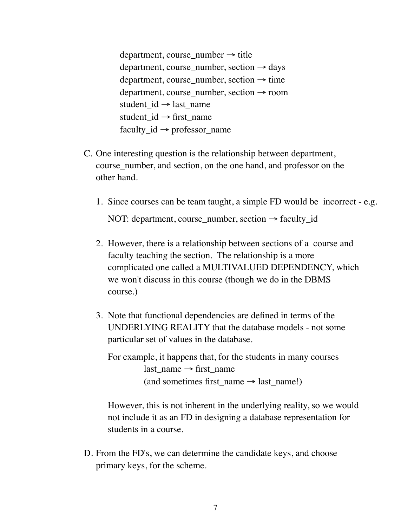department, course number  $\rightarrow$  title department, course\_number, section  $\rightarrow$  days  $department, course_number, section \rightarrow time$ department, course number, section  $\rightarrow$  room student\_id  $\rightarrow$  last\_name student  $id \rightarrow$  first name faculty  $id \rightarrow$  professor name

- C. One interesting question is the relationship between department, course\_number, and section, on the one hand, and professor on the other hand.
	- 1. Since courses can be team taught, a simple FD would be incorrect e.g.

NOT: department, course number, section  $\rightarrow$  faculty id

- 2. However, there is a relationship between sections of a course and faculty teaching the section. The relationship is a more complicated one called a MULTIVALUED DEPENDENCY, which we won't discuss in this course (though we do in the DBMS course.)
- 3. Note that functional dependencies are defined in terms of the UNDERLYING REALITY that the database models - not some particular set of values in the database.

For example, it happens that, for the students in many courses  $last_name \rightarrow first_name$ (and sometimes first name  $\rightarrow$  last name!)

However, this is not inherent in the underlying reality, so we would not include it as an FD in designing a database representation for students in a course.

D. From the FD's, we can determine the candidate keys, and choose primary keys, for the scheme.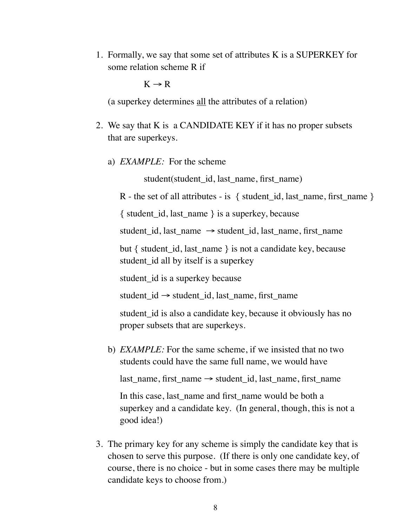1. Formally, we say that some set of attributes K is a SUPERKEY for some relation scheme R if

 $K \rightarrow R$ 

(a superkey determines all the attributes of a relation)

- 2. We say that K is a CANDIDATE KEY if it has no proper subsets that are superkeys.
	- a) *EXAMPLE:* For the scheme

student(student id, last name, first name)

R - the set of all attributes - is  $\{$  student id, last name, first name  $\}$ 

 $\{$  student id, last name  $\}$  is a superkey, because

student id, last name  $\rightarrow$  student id, last name, first name

but { student\_id, last\_name } is not a candidate key, because student\_id all by itself is a superkey

student id is a superkey because

student  $id \rightarrow$  student id, last name, first name

student\_id is also a candidate key, because it obviously has no proper subsets that are superkeys.

b) *EXAMPLE:* For the same scheme, if we insisted that no two students could have the same full name, we would have

last\_name, first\_name → student\_id, last\_name, first\_name

In this case, last name and first name would be both a superkey and a candidate key. (In general, though, this is not a good idea!)

3. The primary key for any scheme is simply the candidate key that is chosen to serve this purpose. (If there is only one candidate key, of course, there is no choice - but in some cases there may be multiple candidate keys to choose from.)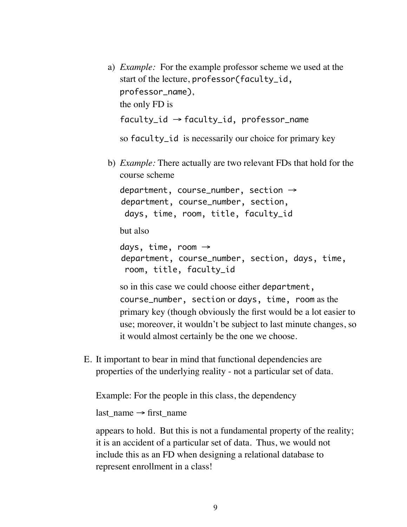- a) *Example:* For the example professor scheme we used at the start of the lecture, professor(faculty\_id, professor\_name), the only FD is  $faculty_id \rightarrow faculty_id$ , professor\_name so faculty\_id is necessarily our choice for primary key
- b) *Example:* There actually are two relevant FDs that hold for the course scheme

department, course\_number, section  $\rightarrow$ department, course\_number, section, days, time, room, title, faculty\_id

but also

days, time, room  $\rightarrow$ department, course\_number, section, days, time, room, title, faculty\_id

so in this case we could choose either department, course\_number, section or days, time, room as the primary key (though obviously the first would be a lot easier to use; moreover, it wouldn't be subject to last minute changes, so it would almost certainly be the one we choose.

E. It important to bear in mind that functional dependencies are properties of the underlying reality - not a particular set of data.

Example: For the people in this class, the dependency

last name  $\rightarrow$  first name

appears to hold. But this is not a fundamental property of the reality; it is an accident of a particular set of data. Thus, we would not include this as an FD when designing a relational database to represent enrollment in a class!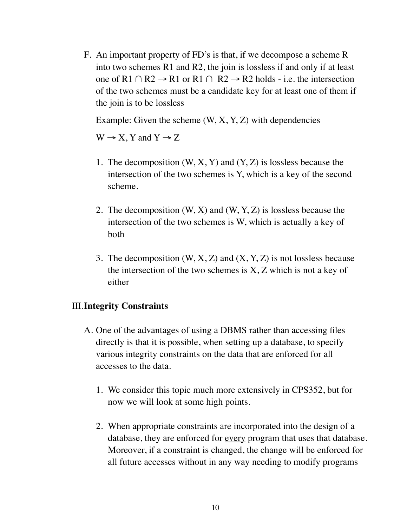F. An important property of FD's is that, if we decompose a scheme R into two schemes R1 and R2, the join is lossless if and only if at least one of R1 ∩ R2  $\rightarrow$  R1 or R1 ∩ R2  $\rightarrow$  R2 holds - i.e. the intersection of the two schemes must be a candidate key for at least one of them if the join is to be lossless

Example: Given the scheme  $(W, X, Y, Z)$  with dependencies

 $W \rightarrow X$ , Y and Y  $\rightarrow Z$ 

- 1. The decomposition  $(W, X, Y)$  and  $(Y, Z)$  is lossless because the intersection of the two schemes is Y, which is a key of the second scheme.
- 2. The decomposition (W, X) and (W, Y, Z) is lossless because the intersection of the two schemes is W, which is actually a key of both
- 3. The decomposition  $(W, X, Z)$  and  $(X, Y, Z)$  is not lossless because the intersection of the two schemes is X, Z which is not a key of either

### III.**Integrity Constraints**

- A. One of the advantages of using a DBMS rather than accessing files directly is that it is possible, when setting up a database, to specify various integrity constraints on the data that are enforced for all accesses to the data.
	- 1. We consider this topic much more extensively in CPS352, but for now we will look at some high points.
	- 2. When appropriate constraints are incorporated into the design of a database, they are enforced for every program that uses that database. Moreover, if a constraint is changed, the change will be enforced for all future accesses without in any way needing to modify programs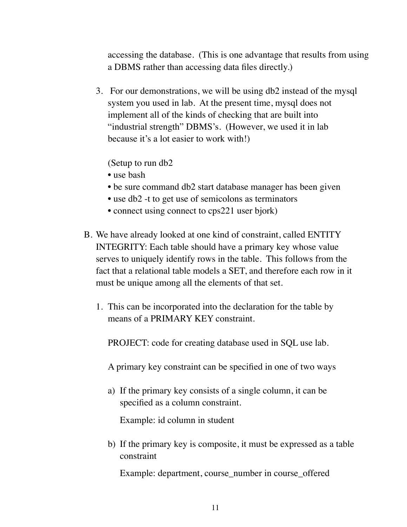accessing the database. (This is one advantage that results from using a DBMS rather than accessing data files directly.)

3. For our demonstrations, we will be using db2 instead of the mysql system you used in lab. At the present time, mysql does not implement all of the kinds of checking that are built into "industrial strength" DBMS's. (However, we used it in lab because it's a lot easier to work with!)

(Setup to run db2

- use bash
- be sure command db2 start database manager has been given
- use db2 -t to get use of semicolons as terminators
- connect using connect to cps221 user bjork)
- B. We have already looked at one kind of constraint, called ENTITY INTEGRITY: Each table should have a primary key whose value serves to uniquely identify rows in the table. This follows from the fact that a relational table models a SET, and therefore each row in it must be unique among all the elements of that set.
	- 1. This can be incorporated into the declaration for the table by means of a PRIMARY KEY constraint.

PROJECT: code for creating database used in SQL use lab.

A primary key constraint can be specified in one of two ways

a) If the primary key consists of a single column, it can be specified as a column constraint.

Example: id column in student

b) If the primary key is composite, it must be expressed as a table constraint

Example: department, course\_number in course\_offered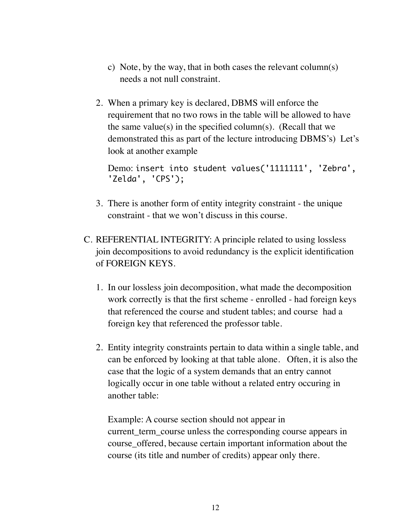- c) Note, by the way, that in both cases the relevant column(s) needs a not null constraint.
- 2. When a primary key is declared, DBMS will enforce the requirement that no two rows in the table will be allowed to have the same value(s) in the specified column(s). (Recall that we demonstrated this as part of the lecture introducing DBMS's) Let's look at another example

```
Demo: insert into student values('1111111', 'Zebra',
'Zelda', 'CPS');
```
- 3. There is another form of entity integrity constraint the unique constraint - that we won't discuss in this course.
- C. REFERENTIAL INTEGRITY: A principle related to using lossless join decompositions to avoid redundancy is the explicit identification of FOREIGN KEYS.
	- 1. In our lossless join decomposition, what made the decomposition work correctly is that the first scheme - enrolled - had foreign keys that referenced the course and student tables; and course had a foreign key that referenced the professor table.
	- 2. Entity integrity constraints pertain to data within a single table, and can be enforced by looking at that table alone. Often, it is also the case that the logic of a system demands that an entry cannot logically occur in one table without a related entry occuring in another table:

Example: A course section should not appear in current\_term\_course unless the corresponding course appears in course\_offered, because certain important information about the course (its title and number of credits) appear only there.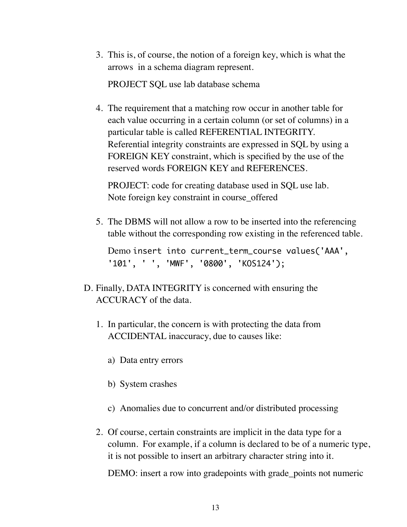3. This is, of course, the notion of a foreign key, which is what the arrows in a schema diagram represent.

PROJECT SQL use lab database schema

4. The requirement that a matching row occur in another table for each value occurring in a certain column (or set of columns) in a particular table is called REFERENTIAL INTEGRITY. Referential integrity constraints are expressed in SQL by using a FOREIGN KEY constraint, which is specified by the use of the reserved words FOREIGN KEY and REFERENCES.

PROJECT: code for creating database used in SQL use lab. Note foreign key constraint in course\_offered

5. The DBMS will not allow a row to be inserted into the referencing table without the corresponding row existing in the referenced table.

```
Demo insert into current_term_course values('AAA', 
'101', ' ', 'MWF', '0800', 'KOS124');
```
- D. Finally, DATA INTEGRITY is concerned with ensuring the ACCURACY of the data.
	- 1. In particular, the concern is with protecting the data from ACCIDENTAL inaccuracy, due to causes like:
		- a) Data entry errors
		- b) System crashes
		- c) Anomalies due to concurrent and/or distributed processing
	- 2. Of course, certain constraints are implicit in the data type for a column. For example, if a column is declared to be of a numeric type, it is not possible to insert an arbitrary character string into it.

DEMO: insert a row into gradepoints with grade\_points not numeric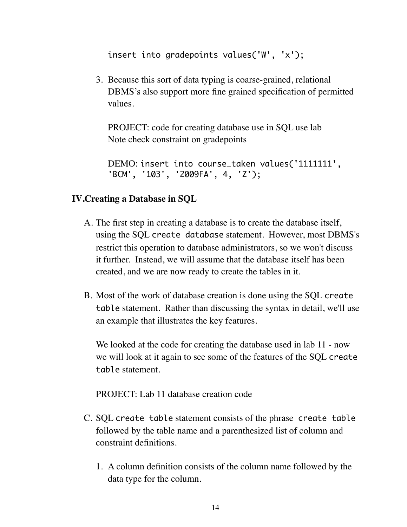insert into gradepoints values('W', 'x');

3. Because this sort of data typing is coarse-grained, relational DBMS's also support more fine grained specification of permitted values.

PROJECT: code for creating database use in SQL use lab Note check constraint on gradepoints

DEMO: insert into course\_taken values('1111111', 'BCM', '103', '2009FA', 4, 'Z');

## **IV.Creating a Database in SQL**

- A. The first step in creating a database is to create the database itself, using the SQL create database statement. However, most DBMS's restrict this operation to database administrators, so we won't discuss it further. Instead, we will assume that the database itself has been created, and we are now ready to create the tables in it.
- B. Most of the work of database creation is done using the SQL create table statement. Rather than discussing the syntax in detail, we'll use an example that illustrates the key features.

We looked at the code for creating the database used in lab 11 - now we will look at it again to see some of the features of the SQL create table statement.

PROJECT: Lab 11 database creation code

- C. SQL create table statement consists of the phrase create table followed by the table name and a parenthesized list of column and constraint definitions.
	- 1. A column definition consists of the column name followed by the data type for the column.